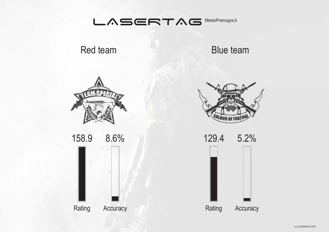

Red team

Blue team



158.9 8.6% Rating Accuracy



129.4 5.2%

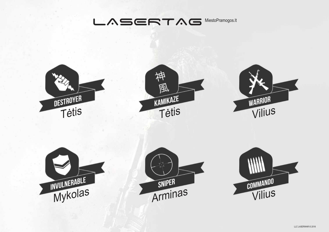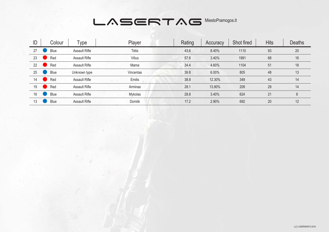| ID | Colour | Type                 | Player        | Rating | Accuracy | Shot fired | <b>Hits</b> | <b>Deaths</b> |
|----|--------|----------------------|---------------|--------|----------|------------|-------------|---------------|
| 27 | Blue   | <b>Assault Rifle</b> | Tėtis         | 43.6   | 8.40%    | 1110       | 93          | 20            |
| 23 | Red    | <b>Assault Rifle</b> | <b>Vilius</b> | 57.6   | 3.40%    | 1991       | 68          | 16            |
| 22 | Red    | Assault Rifle        | Mama          | 34.4   | 4.60%    | 1104       | 51          | 18            |
| 25 | Blue   | Unknown type         | Vincentas     | 39.8   | 6.00%    | 805        | 48          | 13            |
| 14 | Red    | <b>Assault Rifle</b> | Emilis        | 38.8   | 12.30%   | 349        | 43          | 14            |
| 19 | Red    | <b>Assault Rifle</b> | Arminas       | 28.1   | 13.90%   | 209        | 29          | 14            |
| 16 | Blue   | <b>Assault Rifle</b> | Mykolas       | 28.8   | 3.40%    | 624        | 21          | 8             |
| 13 | Blue   | <b>Assault Rifle</b> | Domilė        | 17.2   | 2.90%    | 692        | 20          | 12            |
|    |        |                      |               |        |          |            |             |               |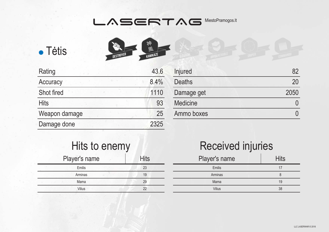



| Rating        | 43.6 |
|---------------|------|
| Accuracy      | 8.4% |
| Shot fired    | 1110 |
| <b>Hits</b>   | 93   |
| Weapon damage | 25   |
| Damage done   | 2325 |
|               |      |

| Injured         |      |
|-----------------|------|
| <b>Deaths</b>   | 20   |
| Damage get      | 2050 |
| <b>Medicine</b> |      |
| Ammo boxes      |      |
|                 |      |

| Hits to enemy |             |
|---------------|-------------|
| Player's name | <b>Hits</b> |
| Emilis        | 23          |
| Arminas       | 19          |
| Mama          | 29          |
| Vilius        |             |

| Player's name | <b>Hits</b> |
|---------------|-------------|
| Emilis        | 17          |
| Arminas       | 8           |
| Mama          | 19          |
| <b>Vilius</b> | 38          |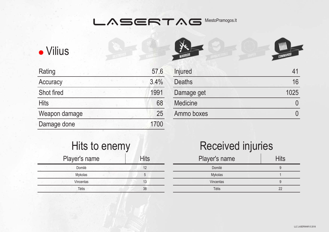$\sim$ r



| Rating        | 57.6 |
|---------------|------|
| Accuracy      | 3.4% |
| Shot fired    | 1991 |
| <b>Hits</b>   | 68   |
| Weapon damage | 25   |
| Damage done   | 1700 |
|               |      |

| WARRIOR       | COMMANDO |
|---------------|----------|
| Injured       | 41       |
| <b>Deaths</b> | 16       |
| Damage get    | 1025     |
|               |          |

| Hits to enemy |             |  |
|---------------|-------------|--|
| Player's name | <b>Hits</b> |  |
| Domilė        | 12          |  |
| Mykolas       | 5           |  |
| Vincentas     | 13          |  |
| Tėtis         | 38          |  |

# Received injuries

Medicine 0

Ammo boxes <sup>0</sup>

| Player's name | <b>Hits</b> |
|---------------|-------------|
| Domilė        |             |
| Mykolas       |             |
| Vincentas     |             |
| Tėtis         | 22          |
|               |             |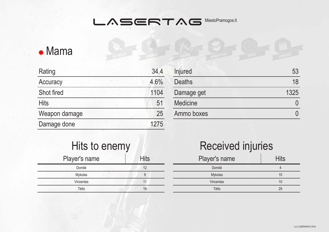## • Mama

| Rating            | 34.4 |
|-------------------|------|
| Accuracy          | 4.6% |
| <b>Shot fired</b> | 1104 |
| <b>Hits</b>       | 51   |
| Weapon damage     | 25   |
| Damage done       | 1275 |
|                   |      |

| Injured         | 53   |
|-----------------|------|
| <b>Deaths</b>   | 18   |
| Damage get      | 1325 |
| <b>Medicine</b> |      |
| Ammo boxes      |      |
|                 |      |

| Hits to enemy |             |
|---------------|-------------|
| Player's name | <b>Hits</b> |
| Domilė        | 12          |
| Mykolas       | 9           |
| Vincentas     |             |
| Tėtis         | 19          |

| Player's name | <b>Hits</b> |
|---------------|-------------|
| Domilė        |             |
| Mykolas       | 10          |
| Vincentas     | 10          |
| Tėtis         | 29          |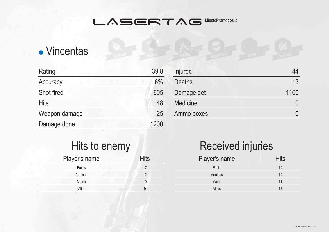# • Vincentas

| Rating        | 39.8 |
|---------------|------|
| Accuracy      | 6%   |
| Shot fired    | 805  |
| <b>Hits</b>   | 48   |
| Weapon damage | 25   |
| Damage done   | 1200 |
|               |      |

| Injured         |      |
|-----------------|------|
| <b>Deaths</b>   | 13   |
| Damage get      | 1100 |
| <b>Medicine</b> |      |
| Ammo boxes      |      |
|                 |      |

| Hits to enemy |             |
|---------------|-------------|
| Player's name | <b>Hits</b> |
| Emilis        | 17          |
| Arminas       | 12          |
| Mama          | 10          |
| Vilius        |             |

| Player's name | <b>Hits</b> |
|---------------|-------------|
| Emilis        | 10          |
| Arminas       | 10          |
| Mama          | 11          |
| <b>Vilius</b> | 13          |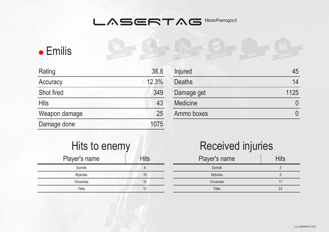# **•** Emilis

| Rating        | 38.8  |
|---------------|-------|
| Accuracy      | 12.3% |
| Shot fired    | 349   |
| <b>Hits</b>   | 43    |
| Weapon damage | 25    |
| Damage done   | 1075  |
|               |       |

| <b>Injured</b>  |      |
|-----------------|------|
| <b>Deaths</b>   | 14   |
| Damage get      | 1125 |
| <b>Medicine</b> |      |
| Ammo boxes      |      |
|                 |      |

| Hits to enemy |             |
|---------------|-------------|
| Player's name | <b>Hits</b> |
| Domilė        | 6           |
| Mykolas       | 10          |
| Vincentas     | 10          |
| Tėtis         |             |

| Player's name | <b>Hits</b> |
|---------------|-------------|
| Domilė        |             |
| Mykolas       |             |
| Vincentas     | 17          |
| <b>T</b> ėtis | 23          |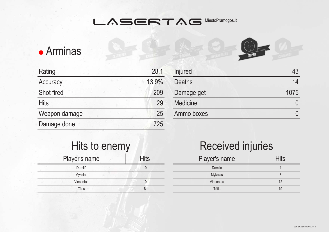## Arminas

| Rating        | 28.1  |
|---------------|-------|
| Accuracy      | 13.9% |
| Shot fired    | 209   |
| <b>Hits</b>   | 29    |
| Weapon damage | 25    |
| Damage done   | 725   |
|               |       |

| Injured         | 43   |
|-----------------|------|
| <b>Deaths</b>   | 14   |
| Damage get      | 1075 |
| <b>Medicine</b> |      |
| Ammo boxes      |      |
|                 |      |

#### Hits to enemy Player's name Hits<br>Domilé Domilė Mykolas **1** Vincentas 10 Tėtis 8

| Player's name | <b>Hits</b> |
|---------------|-------------|
| Domilė        |             |
| Mykolas       | 8           |
| Vincentas     | 12          |
| Tėtis         | 19          |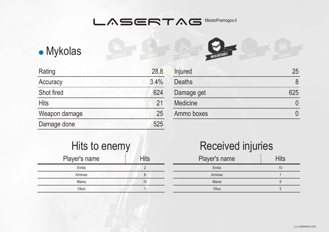# Mykolas

| Rating        | 28.8 |
|---------------|------|
| Accuracy      | 3.4% |
| Shot fired    | 624  |
| <b>Hits</b>   | 21   |
| Weapon damage | 25   |
| Damage done   | 525  |
|               |      |

| Injured         | 25  |
|-----------------|-----|
| <b>Deaths</b>   |     |
| Damage get      | 625 |
| <b>Medicine</b> |     |
| Ammo boxes      |     |
|                 |     |

#### Hits to enemy Player's name Hits Emilis Arminas 8 Mama 10 Vilius 1

| Player's name | <b>Hits</b> |
|---------------|-------------|
| Emilis        | 10          |
| Arminas       |             |
| Mama          | g           |
| <b>Vilius</b> | 5           |